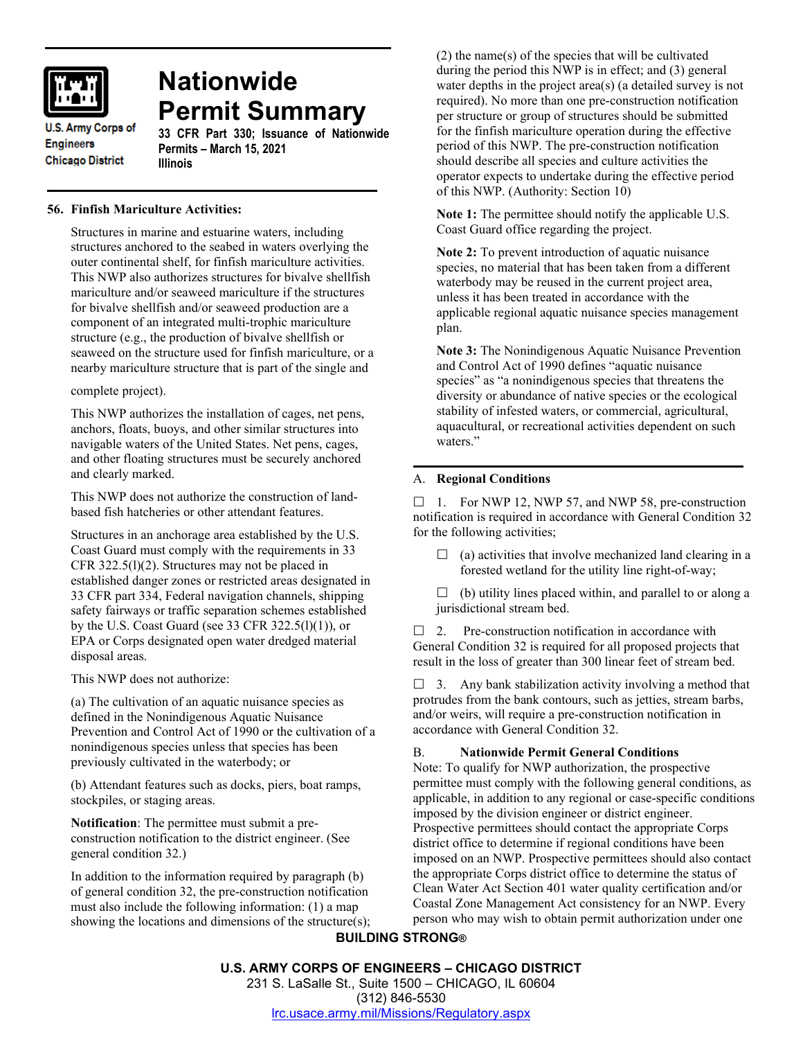

# **Nationwide Permit Summary**

**U.S. Army Corps of Engineers Chicago District** 

#### **33 CFR Part 330; Issuance of Nationwide Permits – March 15, 2021 Illinois**

# **56. Finfish Mariculture Activities:**

Structures in marine and estuarine waters, including structures anchored to the seabed in waters overlying the outer continental shelf, for finfish mariculture activities. This NWP also authorizes structures for bivalve shellfish mariculture and/or seaweed mariculture if the structures for bivalve shellfish and/or seaweed production are a component of an integrated multi-trophic mariculture structure (e.g., the production of bivalve shellfish or seaweed on the structure used for finfish mariculture, or a nearby mariculture structure that is part of the single and

# complete project).

This NWP authorizes the installation of cages, net pens, anchors, floats, buoys, and other similar structures into navigable waters of the United States. Net pens, cages, and other floating structures must be securely anchored and clearly marked.

This NWP does not authorize the construction of landbased fish hatcheries or other attendant features.

Structures in an anchorage area established by the U.S. Coast Guard must comply with the requirements in 33 CFR 322.5(l)(2). Structures may not be placed in established danger zones or restricted areas designated in 33 CFR part 334, Federal navigation channels, shipping safety fairways or traffic separation schemes established by the U.S. Coast Guard (see 33 CFR  $322.5(1)(1)$ ), or EPA or Corps designated open water dredged material disposal areas.

This NWP does not authorize:

(a) The cultivation of an aquatic nuisance species as defined in the Nonindigenous Aquatic Nuisance Prevention and Control Act of 1990 or the cultivation of a nonindigenous species unless that species has been previously cultivated in the waterbody; or

(b) Attendant features such as docks, piers, boat ramps, stockpiles, or staging areas.

**Notification**: The permittee must submit a preconstruction notification to the district engineer. (See general condition 32.)

In addition to the information required by paragraph (b) of general condition 32, the pre-construction notification must also include the following information: (1) a map showing the locations and dimensions of the structure(s); (2) the name(s) of the species that will be cultivated during the period this NWP is in effect; and (3) general water depths in the project area(s) (a detailed survey is not required). No more than one pre-construction notification per structure or group of structures should be submitted for the finfish mariculture operation during the effective period of this NWP. The pre-construction notification should describe all species and culture activities the operator expects to undertake during the effective period of this NWP. (Authority: Section 10)

**Note 1:** The permittee should notify the applicable U.S. Coast Guard office regarding the project.

**Note 2:** To prevent introduction of aquatic nuisance species, no material that has been taken from a different waterbody may be reused in the current project area, unless it has been treated in accordance with the applicable regional aquatic nuisance species management plan.

**Note 3:** The Nonindigenous Aquatic Nuisance Prevention and Control Act of 1990 defines "aquatic nuisance species" as "a nonindigenous species that threatens the diversity or abundance of native species or the ecological stability of infested waters, or commercial, agricultural, aquacultural, or recreational activities dependent on such waters."

# A. **Regional Conditions**

 $\Box$  1. For NWP 12, NWP 57, and NWP 58, pre-construction notification is required in accordance with General Condition 32 for the following activities;

 $\Box$  (a) activities that involve mechanized land clearing in a forested wetland for the utility line right-of-way;

 $\Box$  (b) utility lines placed within, and parallel to or along a jurisdictional stream bed.

 $\Box$  2. Pre-construction notification in accordance with General Condition 32 is required for all proposed projects that result in the loss of greater than 300 linear feet of stream bed.

 $\Box$  3. Any bank stabilization activity involving a method that protrudes from the bank contours, such as jetties, stream barbs, and/or weirs, will require a pre-construction notification in accordance with General Condition 32.

# B. **Nationwide Permit General Conditions**

Note: To qualify for NWP authorization, the prospective permittee must comply with the following general conditions, as applicable, in addition to any regional or case-specific conditions imposed by the division engineer or district engineer. Prospective permittees should contact the appropriate Corps district office to determine if regional conditions have been imposed on an NWP. Prospective permittees should also contact the appropriate Corps district office to determine the status of Clean Water Act Section 401 water quality certification and/or Coastal Zone Management Act consistency for an NWP. Every person who may wish to obtain permit authorization under one

# **BUILDING STRONG®**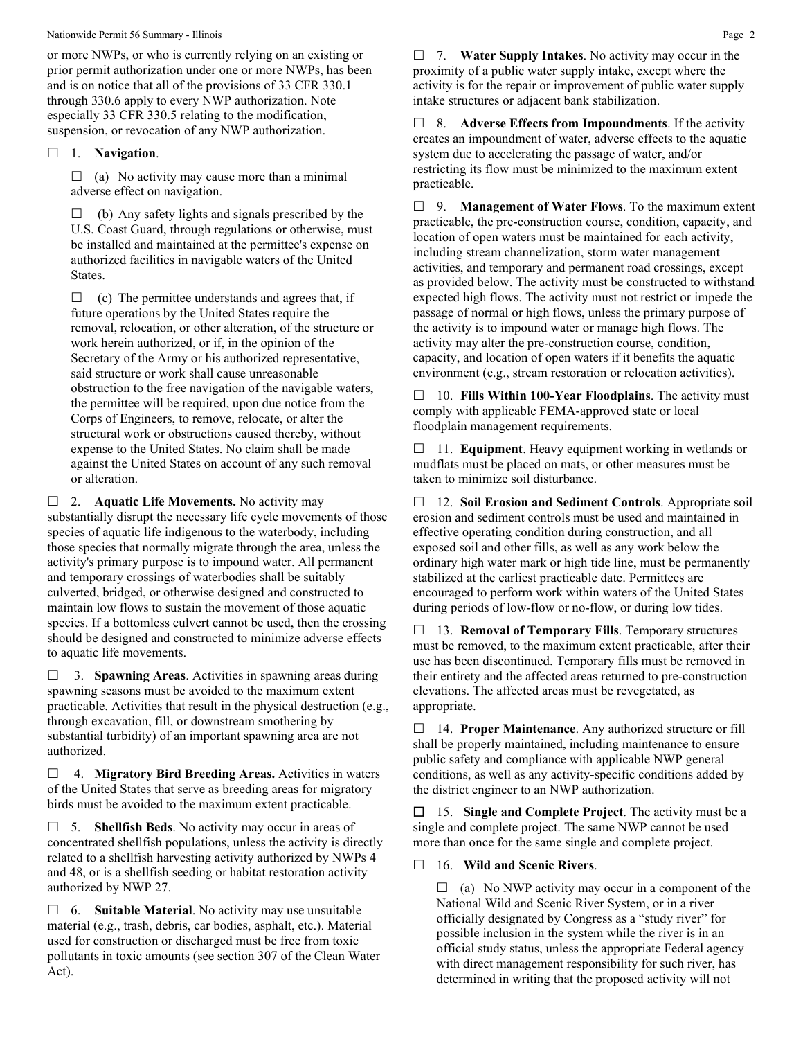or more NWPs, or who is currently relying on an existing or prior permit authorization under one or more NWPs, has been and is on notice that all of the provisions of 33 CFR 330.1 through 330.6 apply to every NWP authorization. Note especially 33 CFR 330.5 relating to the modification, suspension, or revocation of any NWP authorization.

# 1. **Navigation**.

 $\Box$  (a) No activity may cause more than a minimal adverse effect on navigation.

 $\Box$  (b) Any safety lights and signals prescribed by the U.S. Coast Guard, through regulations or otherwise, must be installed and maintained at the permittee's expense on authorized facilities in navigable waters of the United States.

 $\Box$  (c) The permittee understands and agrees that, if future operations by the United States require the removal, relocation, or other alteration, of the structure or work herein authorized, or if, in the opinion of the Secretary of the Army or his authorized representative, said structure or work shall cause unreasonable obstruction to the free navigation of the navigable waters, the permittee will be required, upon due notice from the Corps of Engineers, to remove, relocate, or alter the structural work or obstructions caused thereby, without expense to the United States. No claim shall be made against the United States on account of any such removal or alteration.

□ 2. **Aquatic Life Movements.** No activity may substantially disrupt the necessary life cycle movements of those species of aquatic life indigenous to the waterbody, including those species that normally migrate through the area, unless the activity's primary purpose is to impound water. All permanent and temporary crossings of waterbodies shall be suitably culverted, bridged, or otherwise designed and constructed to maintain low flows to sustain the movement of those aquatic species. If a bottomless culvert cannot be used, then the crossing should be designed and constructed to minimize adverse effects to aquatic life movements.

 3. **Spawning Areas**. Activities in spawning areas during spawning seasons must be avoided to the maximum extent practicable. Activities that result in the physical destruction (e.g., through excavation, fill, or downstream smothering by substantial turbidity) of an important spawning area are not authorized.

 4. **Migratory Bird Breeding Areas.** Activities in waters of the United States that serve as breeding areas for migratory birds must be avoided to the maximum extent practicable.

 5. **Shellfish Beds**. No activity may occur in areas of concentrated shellfish populations, unless the activity is directly related to a shellfish harvesting activity authorized by NWPs 4 and 48, or is a shellfish seeding or habitat restoration activity authorized by NWP 27.

 6. **Suitable Material**. No activity may use unsuitable material (e.g., trash, debris, car bodies, asphalt, etc.). Material used for construction or discharged must be free from toxic pollutants in toxic amounts (see section 307 of the Clean Water Act).

 7. **Water Supply Intakes**. No activity may occur in the proximity of a public water supply intake, except where the activity is for the repair or improvement of public water supply intake structures or adjacent bank stabilization.

 8. **Adverse Effects from Impoundments**. If the activity creates an impoundment of water, adverse effects to the aquatic system due to accelerating the passage of water, and/or restricting its flow must be minimized to the maximum extent practicable.

 9. **Management of Water Flows**. To the maximum extent practicable, the pre-construction course, condition, capacity, and location of open waters must be maintained for each activity, including stream channelization, storm water management activities, and temporary and permanent road crossings, except as provided below. The activity must be constructed to withstand expected high flows. The activity must not restrict or impede the passage of normal or high flows, unless the primary purpose of the activity is to impound water or manage high flows. The activity may alter the pre-construction course, condition, capacity, and location of open waters if it benefits the aquatic environment (e.g., stream restoration or relocation activities).

 10. **Fills Within 100-Year Floodplains**. The activity must comply with applicable FEMA-approved state or local floodplain management requirements.

 11. **Equipment**. Heavy equipment working in wetlands or mudflats must be placed on mats, or other measures must be taken to minimize soil disturbance.

 12. **Soil Erosion and Sediment Controls**. Appropriate soil erosion and sediment controls must be used and maintained in effective operating condition during construction, and all exposed soil and other fills, as well as any work below the ordinary high water mark or high tide line, must be permanently stabilized at the earliest practicable date. Permittees are encouraged to perform work within waters of the United States during periods of low-flow or no-flow, or during low tides.

 13. **Removal of Temporary Fills**. Temporary structures must be removed, to the maximum extent practicable, after their use has been discontinued. Temporary fills must be removed in their entirety and the affected areas returned to pre-construction elevations. The affected areas must be revegetated, as appropriate.

 14. **Proper Maintenance**. Any authorized structure or fill shall be properly maintained, including maintenance to ensure public safety and compliance with applicable NWP general conditions, as well as any activity-specific conditions added by the district engineer to an NWP authorization.

 15. **Single and Complete Project**. The activity must be a single and complete project. The same NWP cannot be used more than once for the same single and complete project.

# 16. **Wild and Scenic Rivers**.

 $\Box$  (a) No NWP activity may occur in a component of the National Wild and Scenic River System, or in a river officially designated by Congress as a "study river" for possible inclusion in the system while the river is in an official study status, unless the appropriate Federal agency with direct management responsibility for such river, has determined in writing that the proposed activity will not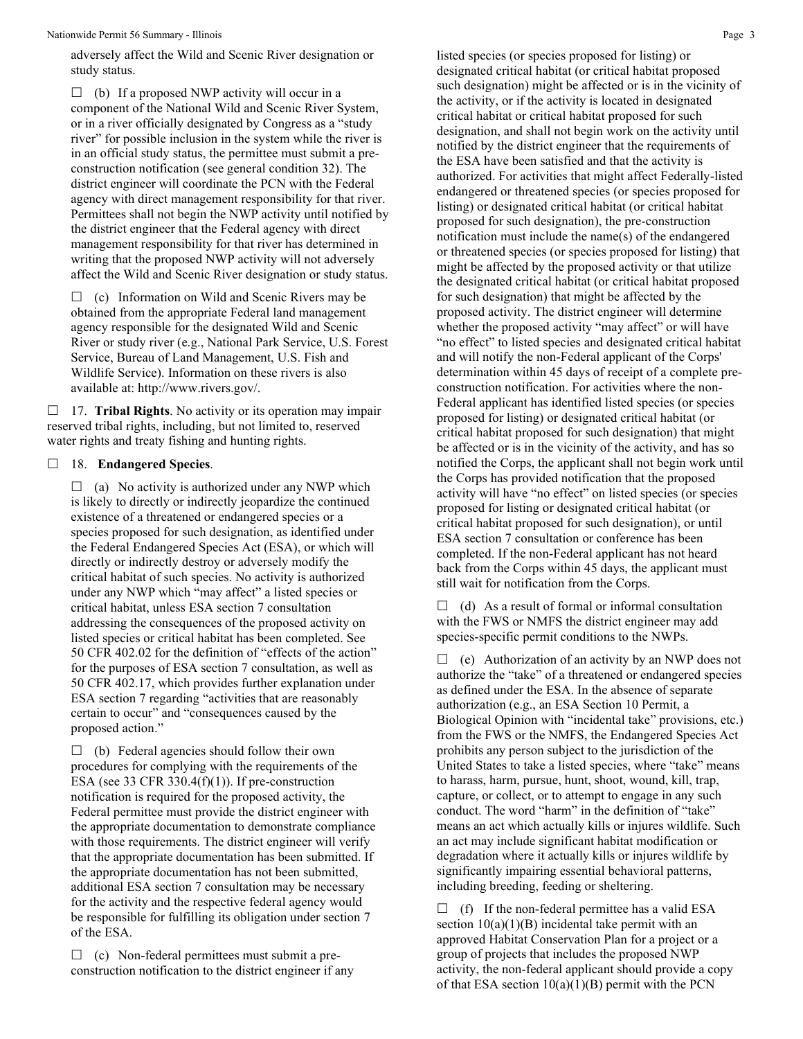adversely affect the Wild and Scenic River designation or study status.

 $\Box$  (b) If a proposed NWP activity will occur in a component of the National Wild and Scenic River System, or in a river officially designated by Congress as a "study river" for possible inclusion in the system while the river is in an official study status, the permittee must submit a preconstruction notification (see general condition 32). The district engineer will coordinate the PCN with the Federal agency with direct management responsibility for that river. Permittees shall not begin the NWP activity until notified by the district engineer that the Federal agency with direct management responsibility for that river has determined in writing that the proposed NWP activity will not adversely affect the Wild and Scenic River designation or study status.

 $\Box$  (c) Information on Wild and Scenic Rivers may be obtained from the appropriate Federal land management agency responsible for the designated Wild and Scenic River or study river (e.g., National Park Service, U.S. Forest Service, Bureau of Land Management, U.S. Fish and Wildlife Service). Information on these rivers is also available at: http://www.rivers.gov/.

 17. **Tribal Rights**. No activity or its operation may impair reserved tribal rights, including, but not limited to, reserved water rights and treaty fishing and hunting rights.

#### 18. **Endangered Species**.

 $\Box$  (a) No activity is authorized under any NWP which is likely to directly or indirectly jeopardize the continued existence of a threatened or endangered species or a species proposed for such designation, as identified under the Federal Endangered Species Act (ESA), or which will directly or indirectly destroy or adversely modify the critical habitat of such species. No activity is authorized under any NWP which "may affect" a listed species or critical habitat, unless ESA section 7 consultation addressing the consequences of the proposed activity on listed species or critical habitat has been completed. See 50 CFR 402.02 for the definition of "effects of the action" for the purposes of ESA section 7 consultation, as well as 50 CFR 402.17, which provides further explanation under ESA section 7 regarding "activities that are reasonably certain to occur" and "consequences caused by the proposed action."

 $\Box$  (b) Federal agencies should follow their own procedures for complying with the requirements of the ESA (see 33 CFR 330.4 $(f)(1)$ ). If pre-construction notification is required for the proposed activity, the Federal permittee must provide the district engineer with the appropriate documentation to demonstrate compliance with those requirements. The district engineer will verify that the appropriate documentation has been submitted. If the appropriate documentation has not been submitted, additional ESA section 7 consultation may be necessary for the activity and the respective federal agency would be responsible for fulfilling its obligation under section 7 of the ESA.

 $\Box$  (c) Non-federal permittees must submit a preconstruction notification to the district engineer if any listed species (or species proposed for listing) or designated critical habitat (or critical habitat proposed such designation) might be affected or is in the vicinity of the activity, or if the activity is located in designated critical habitat or critical habitat proposed for such designation, and shall not begin work on the activity until notified by the district engineer that the requirements of the ESA have been satisfied and that the activity is authorized. For activities that might affect Federally-listed endangered or threatened species (or species proposed for listing) or designated critical habitat (or critical habitat proposed for such designation), the pre-construction notification must include the name(s) of the endangered or threatened species (or species proposed for listing) that might be affected by the proposed activity or that utilize the designated critical habitat (or critical habitat proposed for such designation) that might be affected by the proposed activity. The district engineer will determine whether the proposed activity "may affect" or will have "no effect" to listed species and designated critical habitat and will notify the non-Federal applicant of the Corps' determination within 45 days of receipt of a complete preconstruction notification. For activities where the non-Federal applicant has identified listed species (or species proposed for listing) or designated critical habitat (or critical habitat proposed for such designation) that might be affected or is in the vicinity of the activity, and has so notified the Corps, the applicant shall not begin work until the Corps has provided notification that the proposed activity will have "no effect" on listed species (or species proposed for listing or designated critical habitat (or critical habitat proposed for such designation), or until ESA section 7 consultation or conference has been completed. If the non-Federal applicant has not heard back from the Corps within 45 days, the applicant must still wait for notification from the Corps.

 $\Box$  (d) As a result of formal or informal consultation with the FWS or NMFS the district engineer may add species-specific permit conditions to the NWPs.

 $\Box$  (e) Authorization of an activity by an NWP does not authorize the "take" of a threatened or endangered species as defined under the ESA. In the absence of separate authorization (e.g., an ESA Section 10 Permit, a Biological Opinion with "incidental take" provisions, etc.) from the FWS or the NMFS, the Endangered Species Act prohibits any person subject to the jurisdiction of the United States to take a listed species, where "take" means to harass, harm, pursue, hunt, shoot, wound, kill, trap, capture, or collect, or to attempt to engage in any such conduct. The word "harm" in the definition of "take" means an act which actually kills or injures wildlife. Such an act may include significant habitat modification or degradation where it actually kills or injures wildlife by significantly impairing essential behavioral patterns, including breeding, feeding or sheltering.

 $\Box$  (f) If the non-federal permittee has a valid ESA section  $10(a)(1)(B)$  incidental take permit with an approved Habitat Conservation Plan for a project or a group of projects that includes the proposed NWP activity, the non-federal applicant should provide a copy of that ESA section  $10(a)(1)(B)$  permit with the PCN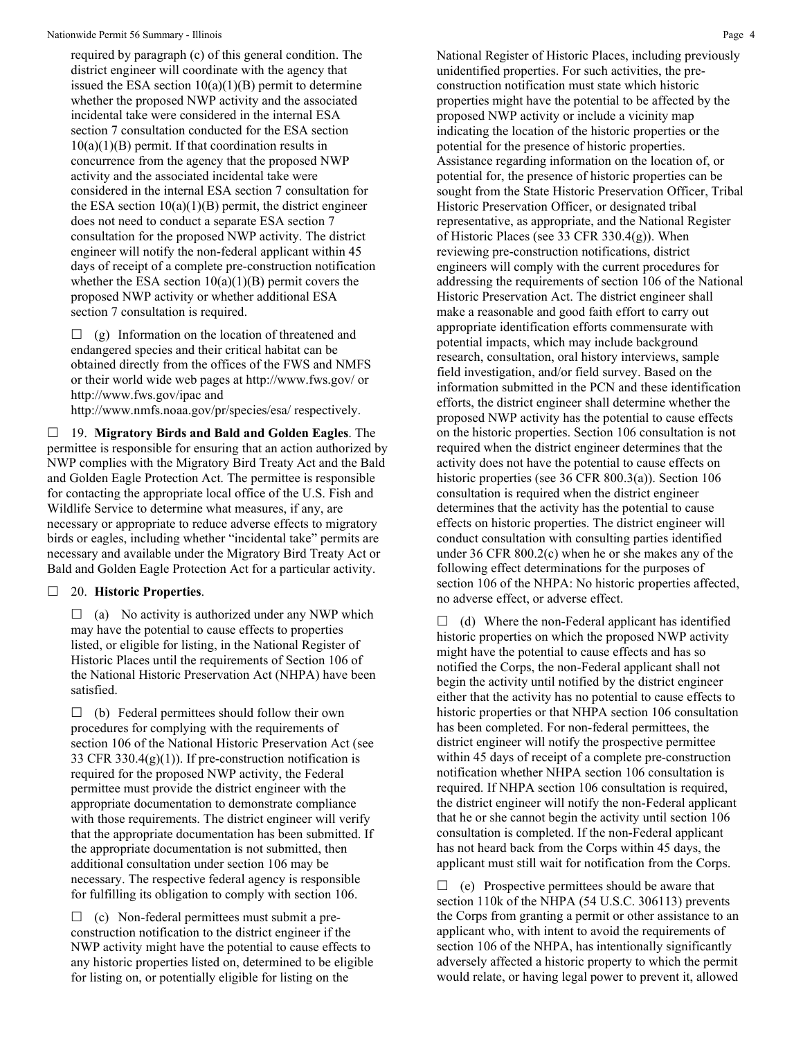required by paragraph (c) of this general condition. The district engineer will coordinate with the agency that issued the ESA section  $10(a)(1)(B)$  permit to determine whether the proposed NWP activity and the associated incidental take were considered in the internal ESA section 7 consultation conducted for the ESA section  $10(a)(1)(B)$  permit. If that coordination results in concurrence from the agency that the proposed NWP activity and the associated incidental take were considered in the internal ESA section 7 consultation for the ESA section  $10(a)(1)(B)$  permit, the district engineer does not need to conduct a separate ESA section 7 consultation for the proposed NWP activity. The district engineer will notify the non-federal applicant within 45 days of receipt of a complete pre-construction notification whether the ESA section  $10(a)(1)(B)$  permit covers the proposed NWP activity or whether additional ESA section 7 consultation is required.

 $\Box$  (g) Information on the location of threatened and endangered species and their critical habitat can be obtained directly from the offices of the FWS and NMFS or their world wide web pages at http://www.fws.gov/ or http://www.fws.gov/ipac and

http://www.nmfs.noaa.gov/pr/species/esa/ respectively.

 19. **Migratory Birds and Bald and Golden Eagles**. The permittee is responsible for ensuring that an action authorized by NWP complies with the Migratory Bird Treaty Act and the Bald and Golden Eagle Protection Act. The permittee is responsible for contacting the appropriate local office of the U.S. Fish and Wildlife Service to determine what measures, if any, are necessary or appropriate to reduce adverse effects to migratory birds or eagles, including whether "incidental take" permits are necessary and available under the Migratory Bird Treaty Act or Bald and Golden Eagle Protection Act for a particular activity.

20. **Historic Properties**.

 $\Box$  (a) No activity is authorized under any NWP which may have the potential to cause effects to properties listed, or eligible for listing, in the National Register of Historic Places until the requirements of Section 106 of the National Historic Preservation Act (NHPA) have been satisfied.

 $\Box$  (b) Federal permittees should follow their own procedures for complying with the requirements of section 106 of the National Historic Preservation Act (see 33 CFR 330.4 $(g)(1)$ ). If pre-construction notification is required for the proposed NWP activity, the Federal permittee must provide the district engineer with the appropriate documentation to demonstrate compliance with those requirements. The district engineer will verify that the appropriate documentation has been submitted. If the appropriate documentation is not submitted, then additional consultation under section 106 may be necessary. The respective federal agency is responsible for fulfilling its obligation to comply with section 106.

 $\Box$  (c) Non-federal permittees must submit a preconstruction notification to the district engineer if the NWP activity might have the potential to cause effects to any historic properties listed on, determined to be eligible for listing on, or potentially eligible for listing on the

National Register of Historic Places, including previously unidentified properties. For such activities, the preconstruction notification must state which historic properties might have the potential to be affected by the proposed NWP activity or include a vicinity map indicating the location of the historic properties or the potential for the presence of historic properties. Assistance regarding information on the location of, or potential for, the presence of historic properties can be sought from the State Historic Preservation Officer, Tribal Historic Preservation Officer, or designated tribal representative, as appropriate, and the National Register of Historic Places (see 33 CFR 330.4(g)). When reviewing pre-construction notifications, district engineers will comply with the current procedures for addressing the requirements of section 106 of the National Historic Preservation Act. The district engineer shall make a reasonable and good faith effort to carry out appropriate identification efforts commensurate with potential impacts, which may include background research, consultation, oral history interviews, sample field investigation, and/or field survey. Based on the information submitted in the PCN and these identification efforts, the district engineer shall determine whether the proposed NWP activity has the potential to cause effects on the historic properties. Section 106 consultation is not required when the district engineer determines that the activity does not have the potential to cause effects on historic properties (see 36 CFR 800.3(a)). Section 106 consultation is required when the district engineer determines that the activity has the potential to cause effects on historic properties. The district engineer will conduct consultation with consulting parties identified under 36 CFR 800.2(c) when he or she makes any of the following effect determinations for the purposes of section 106 of the NHPA: No historic properties affected, no adverse effect, or adverse effect.

 $\Box$  (d) Where the non-Federal applicant has identified historic properties on which the proposed NWP activity might have the potential to cause effects and has so notified the Corps, the non-Federal applicant shall not begin the activity until notified by the district engineer either that the activity has no potential to cause effects to historic properties or that NHPA section 106 consultation has been completed. For non-federal permittees, the district engineer will notify the prospective permittee within 45 days of receipt of a complete pre-construction notification whether NHPA section 106 consultation is required. If NHPA section 106 consultation is required, the district engineer will notify the non-Federal applicant that he or she cannot begin the activity until section 106 consultation is completed. If the non-Federal applicant has not heard back from the Corps within 45 days, the applicant must still wait for notification from the Corps.

 $\Box$  (e) Prospective permittees should be aware that section 110k of the NHPA (54 U.S.C. 306113) prevents the Corps from granting a permit or other assistance to an applicant who, with intent to avoid the requirements of section 106 of the NHPA, has intentionally significantly adversely affected a historic property to which the permit would relate, or having legal power to prevent it, allowed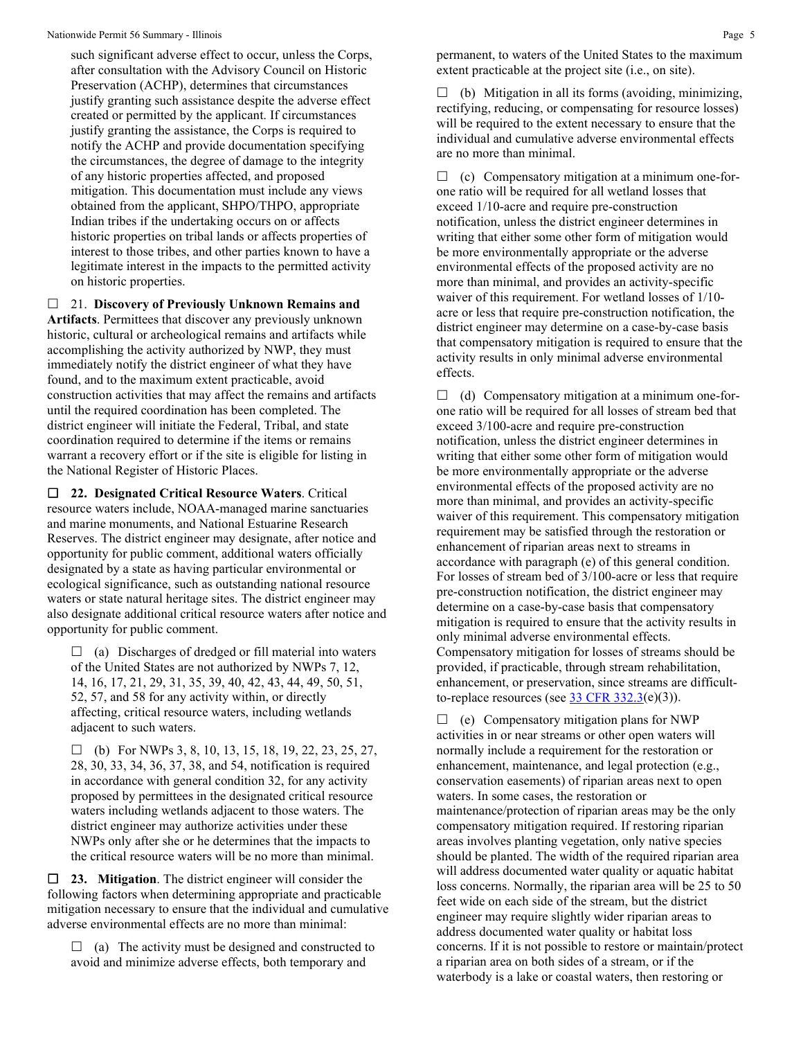such significant adverse effect to occur, unless the Corps, after consultation with the Advisory Council on Historic Preservation (ACHP), determines that circumstances justify granting such assistance despite the adverse effect created or permitted by the applicant. If circumstances justify granting the assistance, the Corps is required to notify the ACHP and provide documentation specifying the circumstances, the degree of damage to the integrity of any historic properties affected, and proposed mitigation. This documentation must include any views obtained from the applicant, SHPO/THPO, appropriate Indian tribes if the undertaking occurs on or affects historic properties on tribal lands or affects properties of interest to those tribes, and other parties known to have a legitimate interest in the impacts to the permitted activity on historic properties.

#### 21. **Discovery of Previously Unknown Remains and**

**Artifacts**. Permittees that discover any previously unknown historic, cultural or archeological remains and artifacts while accomplishing the activity authorized by NWP, they must immediately notify the district engineer of what they have found, and to the maximum extent practicable, avoid construction activities that may affect the remains and artifacts until the required coordination has been completed. The district engineer will initiate the Federal, Tribal, and state coordination required to determine if the items or remains warrant a recovery effort or if the site is eligible for listing in the National Register of Historic Places.

 **22. Designated Critical Resource Waters**. Critical resource waters include, NOAA-managed marine sanctuaries and marine monuments, and National Estuarine Research Reserves. The district engineer may designate, after notice and opportunity for public comment, additional waters officially designated by a state as having particular environmental or ecological significance, such as outstanding national resource waters or state natural heritage sites. The district engineer may also designate additional critical resource waters after notice and opportunity for public comment.

 $\Box$  (a) Discharges of dredged or fill material into waters of the United States are not authorized by NWPs 7, 12, 14, 16, 17, 21, 29, 31, 35, 39, 40, 42, 43, 44, 49, 50, 51, 52, 57, and 58 for any activity within, or directly affecting, critical resource waters, including wetlands adjacent to such waters.

 $\Box$  (b) For NWPs 3, 8, 10, 13, 15, 18, 19, 22, 23, 25, 27, 28, 30, 33, 34, 36, 37, 38, and 54, notification is required in accordance with general condition 32, for any activity proposed by permittees in the designated critical resource waters including wetlands adjacent to those waters. The district engineer may authorize activities under these NWPs only after she or he determines that the impacts to the critical resource waters will be no more than minimal.

 **23. Mitigation**. The district engineer will consider the following factors when determining appropriate and practicable mitigation necessary to ensure that the individual and cumulative adverse environmental effects are no more than minimal:

 $\Box$  (a) The activity must be designed and constructed to avoid and minimize adverse effects, both temporary and

permanent, to waters of the United States to the maximum extent practicable at the project site (i.e., on site).

 $\Box$  (b) Mitigation in all its forms (avoiding, minimizing, rectifying, reducing, or compensating for resource losses) will be required to the extent necessary to ensure that the individual and cumulative adverse environmental effects are no more than minimal.

 $\Box$  (c) Compensatory mitigation at a minimum one-forone ratio will be required for all wetland losses that exceed 1/10-acre and require pre-construction notification, unless the district engineer determines in writing that either some other form of mitigation would be more environmentally appropriate or the adverse environmental effects of the proposed activity are no more than minimal, and provides an activity-specific waiver of this requirement. For wetland losses of 1/10 acre or less that require pre-construction notification, the district engineer may determine on a case-by-case basis that compensatory mitigation is required to ensure that the activity results in only minimal adverse environmental effects.

 $\Box$  (d) Compensatory mitigation at a minimum one-forone ratio will be required for all losses of stream bed that exceed 3/100-acre and require pre-construction notification, unless the district engineer determines in writing that either some other form of mitigation would be more environmentally appropriate or the adverse environmental effects of the proposed activity are no more than minimal, and provides an activity-specific waiver of this requirement. This compensatory mitigation requirement may be satisfied through the restoration or enhancement of riparian areas next to streams in accordance with paragraph (e) of this general condition. For losses of stream bed of 3/100-acre or less that require pre-construction notification, the district engineer may determine on a case-by-case basis that compensatory mitigation is required to ensure that the activity results in only minimal adverse environmental effects. Compensatory mitigation for losses of streams should be provided, if practicable, through stream rehabilitation, enhancement, or preservation, since streams are difficultto-replace resources (see  $33 \text{ CFR } 332.3(e)(3)$ ).

 $\Box$  (e) Compensatory mitigation plans for NWP activities in or near streams or other open waters will normally include a requirement for the restoration or enhancement, maintenance, and legal protection (e.g., conservation easements) of riparian areas next to open waters. In some cases, the restoration or maintenance/protection of riparian areas may be the only compensatory mitigation required. If restoring riparian areas involves planting vegetation, only native species should be planted. The width of the required riparian area will address documented water quality or aquatic habitat loss concerns. Normally, the riparian area will be 25 to 50 feet wide on each side of the stream, but the district engineer may require slightly wider riparian areas to address documented water quality or habitat loss concerns. If it is not possible to restore or maintain/protect a riparian area on both sides of a stream, or if the waterbody is a lake or coastal waters, then restoring or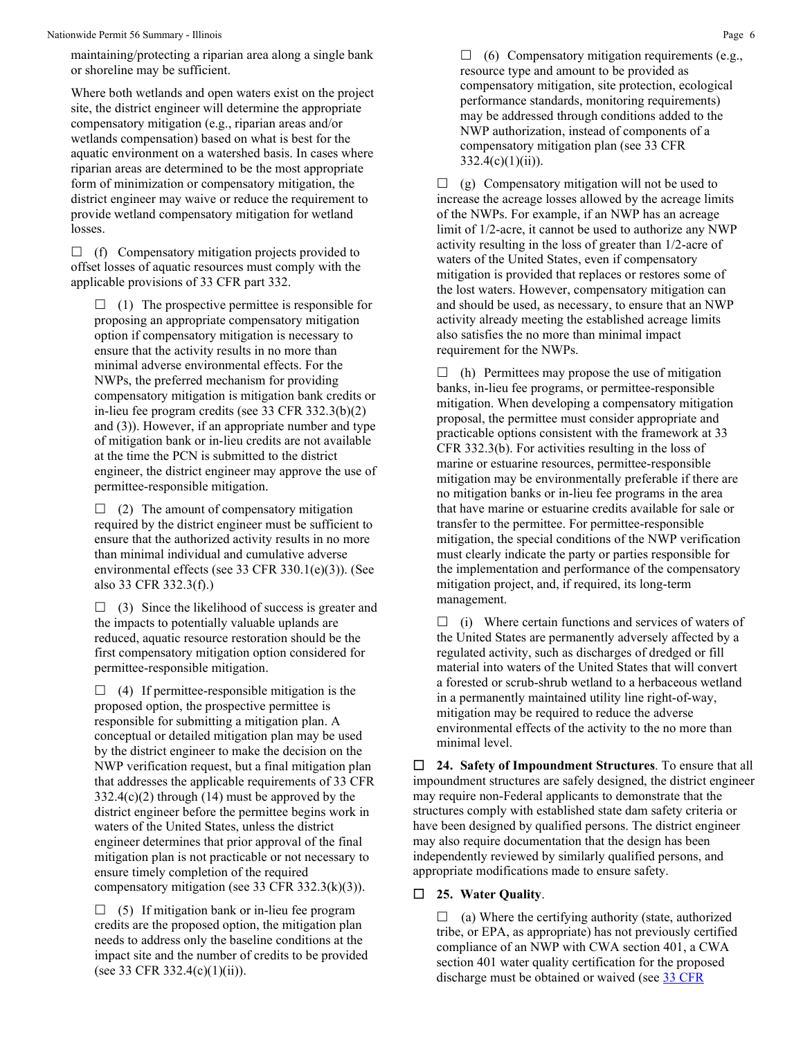maintaining/protecting a riparian area along a single bank or shoreline may be sufficient.

Where both wetlands and open waters exist on the project site, the district engineer will determine the appropriate compensatory mitigation (e.g., riparian areas and/or wetlands compensation) based on what is best for the aquatic environment on a watershed basis. In cases where riparian areas are determined to be the most appropriate form of minimization or compensatory mitigation, the district engineer may waive or reduce the requirement to provide wetland compensatory mitigation for wetland losses.

 $\Box$  (f) Compensatory mitigation projects provided to offset losses of aquatic resources must comply with the applicable provisions of 33 CFR part 332.

 $\Box$  (1) The prospective permittee is responsible for proposing an appropriate compensatory mitigation option if compensatory mitigation is necessary to ensure that the activity results in no more than minimal adverse environmental effects. For the NWPs, the preferred mechanism for providing compensatory mitigation is mitigation bank credits or in-lieu fee program credits (see 33 CFR 332.3(b)(2) and (3)). However, if an appropriate number and type of mitigation bank or in-lieu credits are not available at the time the PCN is submitted to the district engineer, the district engineer may approve the use of permittee-responsible mitigation.

 $\Box$  (2) The amount of compensatory mitigation required by the district engineer must be sufficient to ensure that the authorized activity results in no more than minimal individual and cumulative adverse environmental effects (see 33 CFR 330.1(e)(3)). (See also 33 CFR 332.3(f).)

 $\Box$  (3) Since the likelihood of success is greater and the impacts to potentially valuable uplands are reduced, aquatic resource restoration should be the first compensatory mitigation option considered for permittee-responsible mitigation.

 $\Box$  (4) If permittee-responsible mitigation is the proposed option, the prospective permittee is responsible for submitting a mitigation plan. A conceptual or detailed mitigation plan may be used by the district engineer to make the decision on the NWP verification request, but a final mitigation plan that addresses the applicable requirements of 33 CFR  $332.4(c)(2)$  through (14) must be approved by the district engineer before the permittee begins work in waters of the United States, unless the district engineer determines that prior approval of the final mitigation plan is not practicable or not necessary to ensure timely completion of the required compensatory mitigation (see 33 CFR 332.3(k)(3)).

 $\Box$  (5) If mitigation bank or in-lieu fee program credits are the proposed option, the mitigation plan needs to address only the baseline conditions at the impact site and the number of credits to be provided (see 33 CFR 332.4(c)(1)(ii)).

 $\Box$  (6) Compensatory mitigation requirements (e.g., resource type and amount to be provided as compensatory mitigation, site protection, ecological performance standards, monitoring requirements) may be addressed through conditions added to the NWP authorization, instead of components of a compensatory mitigation plan (see 33 CFR  $332.4(c)(1)(ii)$ .

 $\Box$  (g) Compensatory mitigation will not be used to increase the acreage losses allowed by the acreage limits of the NWPs. For example, if an NWP has an acreage limit of 1/2-acre, it cannot be used to authorize any NWP activity resulting in the loss of greater than 1/2-acre of waters of the United States, even if compensatory mitigation is provided that replaces or restores some of the lost waters. However, compensatory mitigation can and should be used, as necessary, to ensure that an NWP activity already meeting the established acreage limits also satisfies the no more than minimal impact requirement for the NWPs.

 $\Box$  (h) Permittees may propose the use of mitigation banks, in-lieu fee programs, or permittee-responsible mitigation. When developing a compensatory mitigation proposal, the permittee must consider appropriate and practicable options consistent with the framework at 33 CFR 332.3(b). For activities resulting in the loss of marine or estuarine resources, permittee-responsible mitigation may be environmentally preferable if there are no mitigation banks or in-lieu fee programs in the area that have marine or estuarine credits available for sale or transfer to the permittee. For permittee-responsible mitigation, the special conditions of the NWP verification must clearly indicate the party or parties responsible for the implementation and performance of the compensatory mitigation project, and, if required, its long-term management.

 $\Box$  (i) Where certain functions and services of waters of the United States are permanently adversely affected by a regulated activity, such as discharges of dredged or fill material into waters of the United States that will convert a forested or scrub-shrub wetland to a herbaceous wetland in a permanently maintained utility line right-of-way, mitigation may be required to reduce the adverse environmental effects of the activity to the no more than minimal level.

 **24. Safety of Impoundment Structures**. To ensure that all impoundment structures are safely designed, the district engineer may require non-Federal applicants to demonstrate that the structures comply with established state dam safety criteria or have been designed by qualified persons. The district engineer may also require documentation that the design has been independently reviewed by similarly qualified persons, and appropriate modifications made to ensure safety.

#### **25. Water Quality**.

 $\Box$  (a) Where the certifying authority (state, authorized tribe, or EPA, as appropriate) has not previously certified compliance of an NWP with CWA section 401, a CWA section 401 water quality certification for the proposed discharge must be obtained or waived (see [33 CFR](https://www.federalregister.gov/select-citation/2021/01/13/33-CFR-330.4)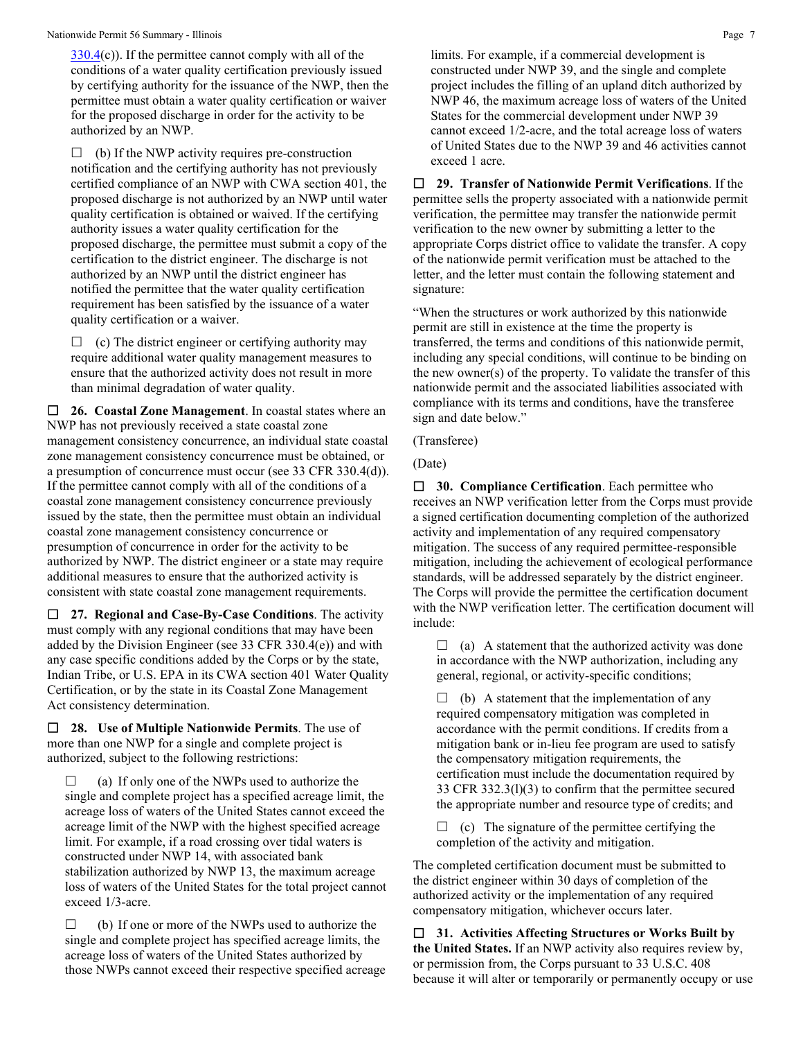$330.4(c)$  $330.4(c)$ ). If the permittee cannot comply with all of the conditions of a water quality certification previously issued by certifying authority for the issuance of the NWP, then the permittee must obtain a water quality certification or waiver for the proposed discharge in order for the activity to be authorized by an NWP.

 $\Box$  (b) If the NWP activity requires pre-construction notification and the certifying authority has not previously certified compliance of an NWP with CWA section 401, the proposed discharge is not authorized by an NWP until water quality certification is obtained or waived. If the certifying authority issues a water quality certification for the proposed discharge, the permittee must submit a copy of the certification to the district engineer. The discharge is not authorized by an NWP until the district engineer has notified the permittee that the water quality certification requirement has been satisfied by the issuance of a water quality certification or a waiver.

 $\Box$  (c) The district engineer or certifying authority may require additional water quality management measures to ensure that the authorized activity does not result in more than minimal degradation of water quality.

 **26. Coastal Zone Management**. In coastal states where an NWP has not previously received a state coastal zone management consistency concurrence, an individual state coastal zone management consistency concurrence must be obtained, or a presumption of concurrence must occur (see 33 CFR 330.4(d)). If the permittee cannot comply with all of the conditions of a coastal zone management consistency concurrence previously issued by the state, then the permittee must obtain an individual coastal zone management consistency concurrence or presumption of concurrence in order for the activity to be authorized by NWP. The district engineer or a state may require additional measures to ensure that the authorized activity is consistent with state coastal zone management requirements.

 **27. Regional and Case-By-Case Conditions**. The activity must comply with any regional conditions that may have been added by the Division Engineer (see 33 CFR 330.4(e)) and with any case specific conditions added by the Corps or by the state, Indian Tribe, or U.S. EPA in its CWA section 401 Water Quality Certification, or by the state in its Coastal Zone Management Act consistency determination.

 **28. Use of Multiple Nationwide Permits**. The use of more than one NWP for a single and complete project is authorized, subject to the following restrictions:

 $\Box$  (a) If only one of the NWPs used to authorize the single and complete project has a specified acreage limit, the acreage loss of waters of the United States cannot exceed the acreage limit of the NWP with the highest specified acreage limit. For example, if a road crossing over tidal waters is constructed under NWP 14, with associated bank stabilization authorized by NWP 13, the maximum acreage loss of waters of the United States for the total project cannot exceed 1/3-acre.

 $\Box$  (b) If one or more of the NWPs used to authorize the single and complete project has specified acreage limits, the acreage loss of waters of the United States authorized by those NWPs cannot exceed their respective specified acreage limits. For example, if a commercial development is constructed under NWP 39, and the single and complete project includes the filling of an upland ditch authorized by NWP 46, the maximum acreage loss of waters of the United States for the commercial development under NWP 39 cannot exceed 1/2-acre, and the total acreage loss of waters of United States due to the NWP 39 and 46 activities cannot exceed 1 acre.

 **29. Transfer of Nationwide Permit Verifications**. If the permittee sells the property associated with a nationwide permit verification, the permittee may transfer the nationwide permit verification to the new owner by submitting a letter to the appropriate Corps district office to validate the transfer. A copy of the nationwide permit verification must be attached to the letter, and the letter must contain the following statement and signature:

"When the structures or work authorized by this nationwide permit are still in existence at the time the property is transferred, the terms and conditions of this nationwide permit, including any special conditions, will continue to be binding on the new owner(s) of the property. To validate the transfer of this nationwide permit and the associated liabilities associated with compliance with its terms and conditions, have the transferee sign and date below."

(Transferee)

(Date)

 **30. Compliance Certification**. Each permittee who receives an NWP verification letter from the Corps must provide a signed certification documenting completion of the authorized activity and implementation of any required compensatory mitigation. The success of any required permittee-responsible mitigation, including the achievement of ecological performance standards, will be addressed separately by the district engineer. The Corps will provide the permittee the certification document with the NWP verification letter. The certification document will include:

 $\Box$  (a) A statement that the authorized activity was done in accordance with the NWP authorization, including any general, regional, or activity-specific conditions;

 $\Box$  (b) A statement that the implementation of any required compensatory mitigation was completed in accordance with the permit conditions. If credits from a mitigation bank or in-lieu fee program are used to satisfy the compensatory mitigation requirements, the certification must include the documentation required by 33 CFR 332.3(l)(3) to confirm that the permittee secured the appropriate number and resource type of credits; and

 $\Box$  (c) The signature of the permittee certifying the completion of the activity and mitigation.

The completed certification document must be submitted to the district engineer within 30 days of completion of the authorized activity or the implementation of any required compensatory mitigation, whichever occurs later.

 **31. Activities Affecting Structures or Works Built by the United States.** If an NWP activity also requires review by, or permission from, the Corps pursuant to 33 U.S.C. 408 because it will alter or temporarily or permanently occupy or use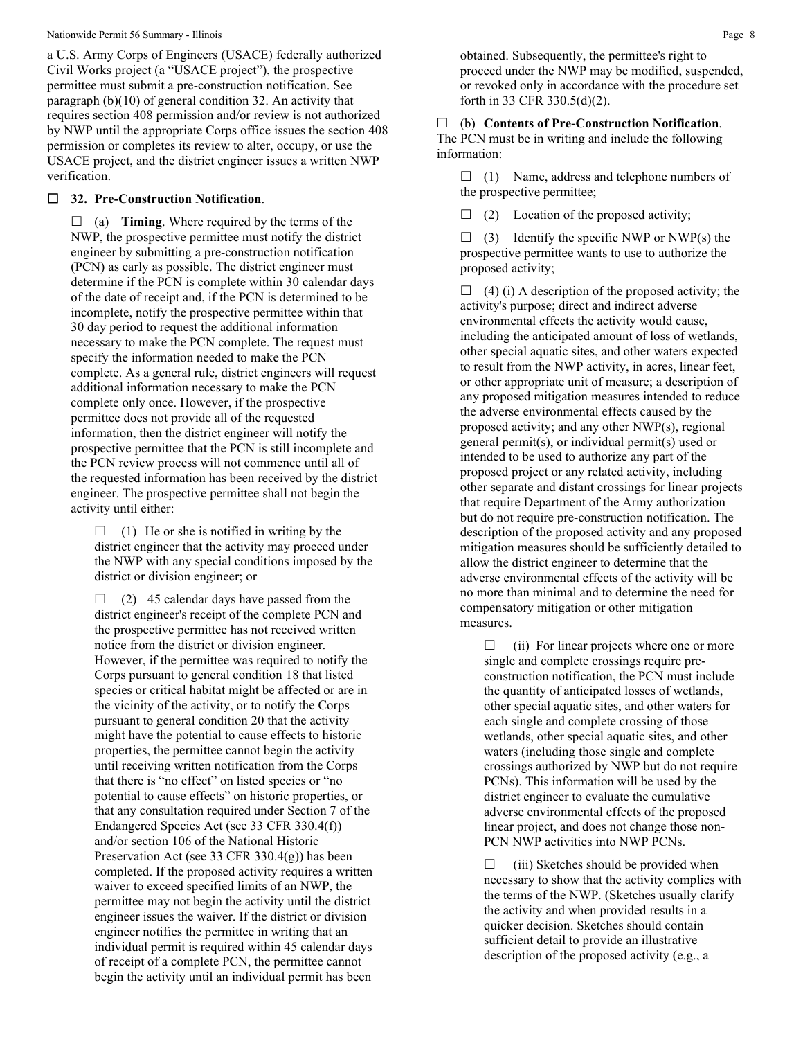a U.S. Army Corps of Engineers (USACE) federally authorized Civil Works project (a "USACE project"), the prospective permittee must submit a pre-construction notification. See paragraph (b)(10) of general condition 32. An activity that requires section 408 permission and/or review is not authorized by NWP until the appropriate Corps office issues the section 408 permission or completes its review to alter, occupy, or use the USACE project, and the district engineer issues a written NWP verification.

#### **32. Pre-Construction Notification**.

 $\Box$  (a) **Timing**. Where required by the terms of the NWP, the prospective permittee must notify the district engineer by submitting a pre-construction notification (PCN) as early as possible. The district engineer must determine if the PCN is complete within 30 calendar days of the date of receipt and, if the PCN is determined to be incomplete, notify the prospective permittee within that 30 day period to request the additional information necessary to make the PCN complete. The request must specify the information needed to make the PCN complete. As a general rule, district engineers will request additional information necessary to make the PCN complete only once. However, if the prospective permittee does not provide all of the requested information, then the district engineer will notify the prospective permittee that the PCN is still incomplete and the PCN review process will not commence until all of the requested information has been received by the district engineer. The prospective permittee shall not begin the activity until either:

 $\Box$  (1) He or she is notified in writing by the district engineer that the activity may proceed under the NWP with any special conditions imposed by the district or division engineer; or

 $\Box$  (2) 45 calendar days have passed from the district engineer's receipt of the complete PCN and the prospective permittee has not received written notice from the district or division engineer. However, if the permittee was required to notify the Corps pursuant to general condition 18 that listed species or critical habitat might be affected or are in the vicinity of the activity, or to notify the Corps pursuant to general condition 20 that the activity might have the potential to cause effects to historic properties, the permittee cannot begin the activity until receiving written notification from the Corps that there is "no effect" on listed species or "no potential to cause effects" on historic properties, or that any consultation required under Section 7 of the Endangered Species Act (see 33 CFR 330.4(f)) and/or section 106 of the National Historic Preservation Act (see 33 CFR 330.4(g)) has been completed. If the proposed activity requires a written waiver to exceed specified limits of an NWP, the permittee may not begin the activity until the district engineer issues the waiver. If the district or division engineer notifies the permittee in writing that an individual permit is required within 45 calendar days of receipt of a complete PCN, the permittee cannot begin the activity until an individual permit has been

obtained. Subsequently, the permittee's right to proceed under the NWP may be modified, suspended, or revoked only in accordance with the procedure set forth in 33 CFR 330.5(d)(2).

# (b) **Contents of Pre-Construction Notification**.

The PCN must be in writing and include the following information:

 $\Box$  (1) Name, address and telephone numbers of the prospective permittee;

 $\Box$  (2) Location of the proposed activity;

 $\Box$  (3) Identify the specific NWP or NWP(s) the prospective permittee wants to use to authorize the proposed activity;

 $\Box$  (4) (i) A description of the proposed activity; the activity's purpose; direct and indirect adverse environmental effects the activity would cause, including the anticipated amount of loss of wetlands, other special aquatic sites, and other waters expected to result from the NWP activity, in acres, linear feet, or other appropriate unit of measure; a description of any proposed mitigation measures intended to reduce the adverse environmental effects caused by the proposed activity; and any other NWP(s), regional general permit(s), or individual permit(s) used or intended to be used to authorize any part of the proposed project or any related activity, including other separate and distant crossings for linear projects that require Department of the Army authorization but do not require pre-construction notification. The description of the proposed activity and any proposed mitigation measures should be sufficiently detailed to allow the district engineer to determine that the adverse environmental effects of the activity will be no more than minimal and to determine the need for compensatory mitigation or other mitigation measures.

 $\Box$  (ii) For linear projects where one or more single and complete crossings require preconstruction notification, the PCN must include the quantity of anticipated losses of wetlands, other special aquatic sites, and other waters for each single and complete crossing of those wetlands, other special aquatic sites, and other waters (including those single and complete crossings authorized by NWP but do not require PCNs). This information will be used by the district engineer to evaluate the cumulative adverse environmental effects of the proposed linear project, and does not change those non-PCN NWP activities into NWP PCNs.

 $\Box$  (iii) Sketches should be provided when necessary to show that the activity complies with the terms of the NWP. (Sketches usually clarify the activity and when provided results in a quicker decision. Sketches should contain sufficient detail to provide an illustrative description of the proposed activity (e.g., a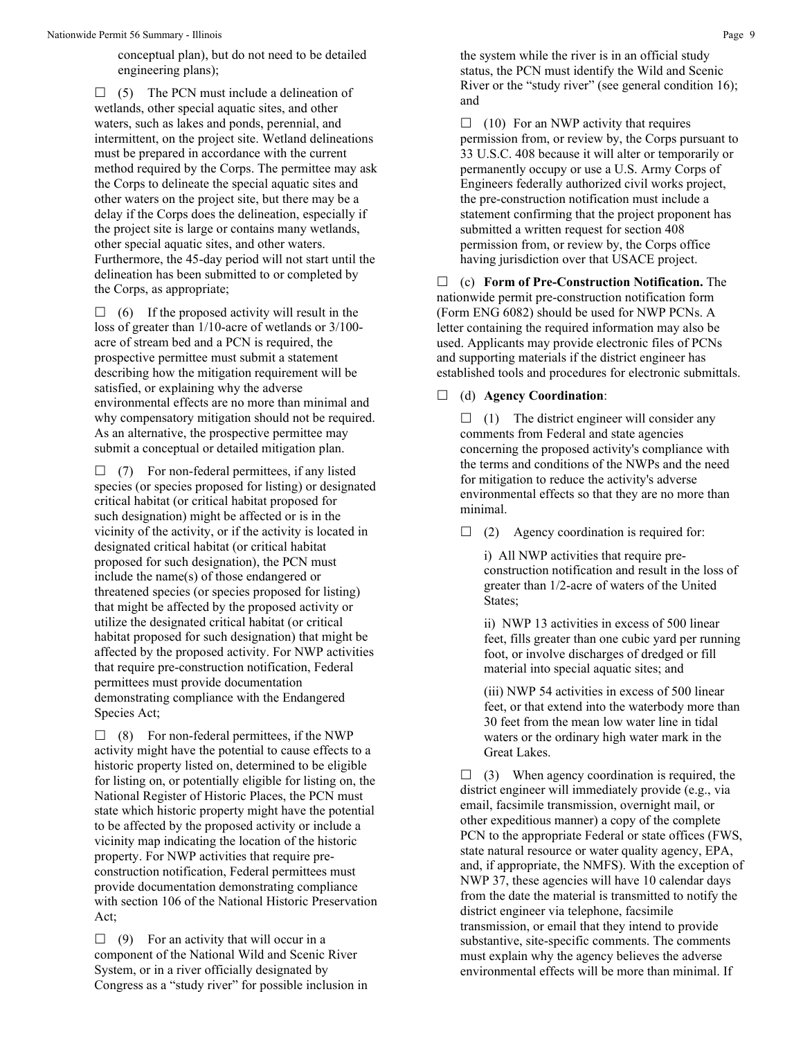conceptual plan), but do not need to be detailed engineering plans);

 $\Box$  (5) The PCN must include a delineation of wetlands, other special aquatic sites, and other waters, such as lakes and ponds, perennial, and intermittent, on the project site. Wetland delineations must be prepared in accordance with the current method required by the Corps. The permittee may ask the Corps to delineate the special aquatic sites and other waters on the project site, but there may be a delay if the Corps does the delineation, especially if the project site is large or contains many wetlands, other special aquatic sites, and other waters. Furthermore, the 45-day period will not start until the delineation has been submitted to or completed by the Corps, as appropriate;

 $\Box$  (6) If the proposed activity will result in the loss of greater than 1/10-acre of wetlands or 3/100 acre of stream bed and a PCN is required, the prospective permittee must submit a statement describing how the mitigation requirement will be satisfied, or explaining why the adverse environmental effects are no more than minimal and why compensatory mitigation should not be required. As an alternative, the prospective permittee may submit a conceptual or detailed mitigation plan.

 $\Box$  (7) For non-federal permittees, if any listed species (or species proposed for listing) or designated critical habitat (or critical habitat proposed for such designation) might be affected or is in the vicinity of the activity, or if the activity is located in designated critical habitat (or critical habitat proposed for such designation), the PCN must include the name(s) of those endangered or threatened species (or species proposed for listing) that might be affected by the proposed activity or utilize the designated critical habitat (or critical habitat proposed for such designation) that might be affected by the proposed activity. For NWP activities that require pre-construction notification, Federal permittees must provide documentation demonstrating compliance with the Endangered Species Act;

 $\Box$  (8) For non-federal permittees, if the NWP activity might have the potential to cause effects to a historic property listed on, determined to be eligible for listing on, or potentially eligible for listing on, the National Register of Historic Places, the PCN must state which historic property might have the potential to be affected by the proposed activity or include a vicinity map indicating the location of the historic property. For NWP activities that require preconstruction notification, Federal permittees must provide documentation demonstrating compliance with section 106 of the National Historic Preservation Act;

 $\Box$  (9) For an activity that will occur in a component of the National Wild and Scenic River System, or in a river officially designated by Congress as a "study river" for possible inclusion in the system while the river is in an official study status, the PCN must identify the Wild and Scenic River or the "study river" (see general condition 16); and

 $\Box$  (10) For an NWP activity that requires permission from, or review by, the Corps pursuant to 33 U.S.C. 408 because it will alter or temporarily or permanently occupy or use a U.S. Army Corps of Engineers federally authorized civil works project, the pre-construction notification must include a statement confirming that the project proponent has submitted a written request for section 408 permission from, or review by, the Corps office having jurisdiction over that USACE project.

 (c) **Form of Pre-Construction Notification.** The nationwide permit pre-construction notification form (Form ENG 6082) should be used for NWP PCNs. A letter containing the required information may also be used. Applicants may provide electronic files of PCNs and supporting materials if the district engineer has established tools and procedures for electronic submittals.

# (d) **Agency Coordination**:

 $\Box$  (1) The district engineer will consider any comments from Federal and state agencies concerning the proposed activity's compliance with the terms and conditions of the NWPs and the need for mitigation to reduce the activity's adverse environmental effects so that they are no more than minimal.

 $\Box$  (2) Agency coordination is required for:

i) All NWP activities that require preconstruction notification and result in the loss of greater than 1/2-acre of waters of the United States;

ii) NWP 13 activities in excess of 500 linear feet, fills greater than one cubic yard per running foot, or involve discharges of dredged or fill material into special aquatic sites; and

(iii) NWP 54 activities in excess of 500 linear feet, or that extend into the waterbody more than 30 feet from the mean low water line in tidal waters or the ordinary high water mark in the Great Lakes.

 $\Box$  (3) When agency coordination is required, the district engineer will immediately provide (e.g., via email, facsimile transmission, overnight mail, or other expeditious manner) a copy of the complete PCN to the appropriate Federal or state offices (FWS, state natural resource or water quality agency, EPA, and, if appropriate, the NMFS). With the exception of NWP 37, these agencies will have 10 calendar days from the date the material is transmitted to notify the district engineer via telephone, facsimile transmission, or email that they intend to provide substantive, site-specific comments. The comments must explain why the agency believes the adverse environmental effects will be more than minimal. If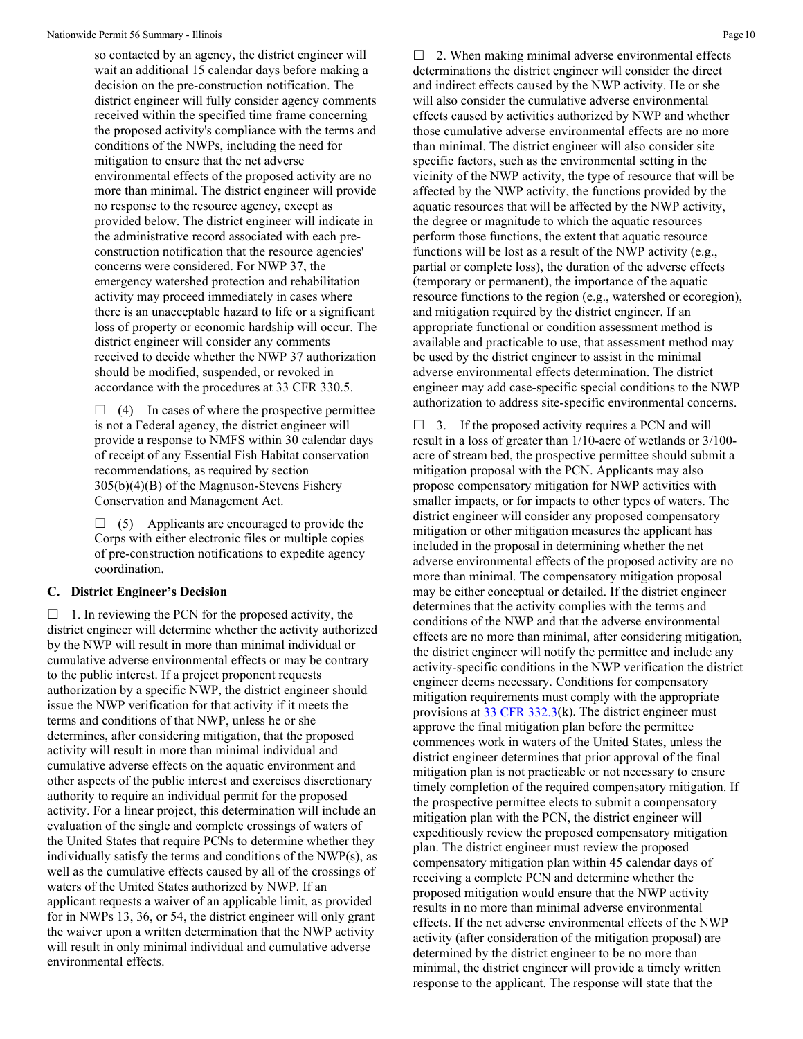so contacted by an agency, the district engineer will wait an additional 15 calendar days before making a decision on the pre-construction notification. The district engineer will fully consider agency comments received within the specified time frame concerning the proposed activity's compliance with the terms and conditions of the NWPs, including the need for mitigation to ensure that the net adverse environmental effects of the proposed activity are no more than minimal. The district engineer will provide no response to the resource agency, except as provided below. The district engineer will indicate in the administrative record associated with each preconstruction notification that the resource agencies' concerns were considered. For NWP 37, the emergency watershed protection and rehabilitation activity may proceed immediately in cases where there is an unacceptable hazard to life or a significant loss of property or economic hardship will occur. The district engineer will consider any comments received to decide whether the NWP 37 authorization should be modified, suspended, or revoked in accordance with the procedures at 33 CFR 330.5.

 $\Box$  (4) In cases of where the prospective permittee is not a Federal agency, the district engineer will provide a response to NMFS within 30 calendar days of receipt of any Essential Fish Habitat conservation recommendations, as required by section 305(b)(4)(B) of the Magnuson-Stevens Fishery Conservation and Management Act.

 $\Box$  (5) Applicants are encouraged to provide the Corps with either electronic files or multiple copies of pre-construction notifications to expedite agency coordination.

#### **C. District Engineer's Decision**

 $\Box$  1. In reviewing the PCN for the proposed activity, the district engineer will determine whether the activity authorized by the NWP will result in more than minimal individual or cumulative adverse environmental effects or may be contrary to the public interest. If a project proponent requests authorization by a specific NWP, the district engineer should issue the NWP verification for that activity if it meets the terms and conditions of that NWP, unless he or she determines, after considering mitigation, that the proposed activity will result in more than minimal individual and cumulative adverse effects on the aquatic environment and other aspects of the public interest and exercises discretionary authority to require an individual permit for the proposed activity. For a linear project, this determination will include an evaluation of the single and complete crossings of waters of the United States that require PCNs to determine whether they individually satisfy the terms and conditions of the NWP(s), as well as the cumulative effects caused by all of the crossings of waters of the United States authorized by NWP. If an applicant requests a waiver of an applicable limit, as provided for in NWPs 13, 36, or 54, the district engineer will only grant the waiver upon a written determination that the NWP activity will result in only minimal individual and cumulative adverse environmental effects.

 $\Box$  2. When making minimal adverse environmental effects determinations the district engineer will consider the direct and indirect effects caused by the NWP activity. He or she will also consider the cumulative adverse environmental effects caused by activities authorized by NWP and whether those cumulative adverse environmental effects are no more than minimal. The district engineer will also consider site specific factors, such as the environmental setting in the vicinity of the NWP activity, the type of resource that will be affected by the NWP activity, the functions provided by the aquatic resources that will be affected by the NWP activity, the degree or magnitude to which the aquatic resources perform those functions, the extent that aquatic resource functions will be lost as a result of the NWP activity (e.g., partial or complete loss), the duration of the adverse effects (temporary or permanent), the importance of the aquatic resource functions to the region (e.g., watershed or ecoregion), and mitigation required by the district engineer. If an appropriate functional or condition assessment method is available and practicable to use, that assessment method may be used by the district engineer to assist in the minimal adverse environmental effects determination. The district engineer may add case-specific special conditions to the NWP authorization to address site-specific environmental concerns.

 $\Box$  3. If the proposed activity requires a PCN and will result in a loss of greater than 1/10-acre of wetlands or 3/100 acre of stream bed, the prospective permittee should submit a mitigation proposal with the PCN. Applicants may also propose compensatory mitigation for NWP activities with smaller impacts, or for impacts to other types of waters. The district engineer will consider any proposed compensatory mitigation or other mitigation measures the applicant has included in the proposal in determining whether the net adverse environmental effects of the proposed activity are no more than minimal. The compensatory mitigation proposal may be either conceptual or detailed. If the district engineer determines that the activity complies with the terms and conditions of the NWP and that the adverse environmental effects are no more than minimal, after considering mitigation, the district engineer will notify the permittee and include any activity-specific conditions in the NWP verification the district engineer deems necessary. Conditions for compensatory mitigation requirements must comply with the appropriate provisions at  $33 \text{ CFR } 332.3$ (k). The district engineer must approve the final mitigation plan before the permittee commences work in waters of the United States, unless the district engineer determines that prior approval of the final mitigation plan is not practicable or not necessary to ensure timely completion of the required compensatory mitigation. If the prospective permittee elects to submit a compensatory mitigation plan with the PCN, the district engineer will expeditiously review the proposed compensatory mitigation plan. The district engineer must review the proposed compensatory mitigation plan within 45 calendar days of receiving a complete PCN and determine whether the proposed mitigation would ensure that the NWP activity results in no more than minimal adverse environmental effects. If the net adverse environmental effects of the NWP activity (after consideration of the mitigation proposal) are determined by the district engineer to be no more than minimal, the district engineer will provide a timely written response to the applicant. The response will state that the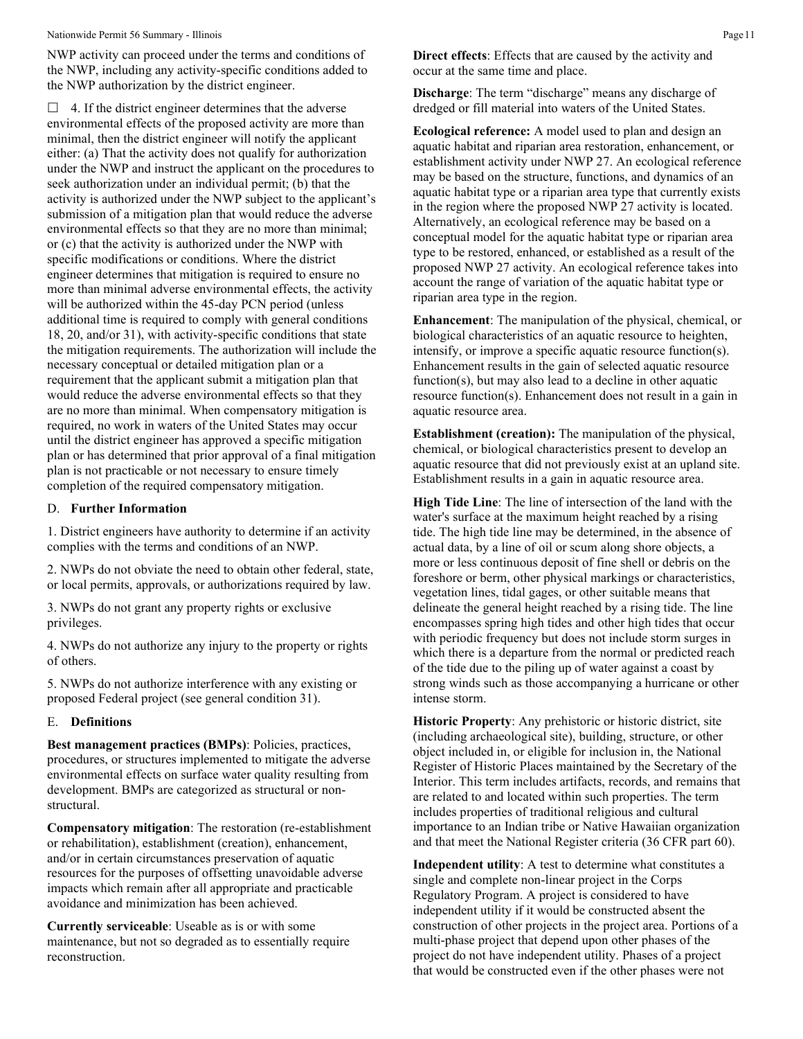NWP activity can proceed under the terms and conditions of the NWP, including any activity-specific conditions added to the NWP authorization by the district engineer.

 $\Box$  4. If the district engineer determines that the adverse environmental effects of the proposed activity are more than minimal, then the district engineer will notify the applicant either: (a) That the activity does not qualify for authorization under the NWP and instruct the applicant on the procedures to seek authorization under an individual permit; (b) that the activity is authorized under the NWP subject to the applicant's submission of a mitigation plan that would reduce the adverse environmental effects so that they are no more than minimal; or (c) that the activity is authorized under the NWP with specific modifications or conditions. Where the district engineer determines that mitigation is required to ensure no more than minimal adverse environmental effects, the activity will be authorized within the 45-day PCN period (unless additional time is required to comply with general conditions 18, 20, and/or 31), with activity-specific conditions that state the mitigation requirements. The authorization will include the necessary conceptual or detailed mitigation plan or a requirement that the applicant submit a mitigation plan that would reduce the adverse environmental effects so that they are no more than minimal. When compensatory mitigation is required, no work in waters of the United States may occur until the district engineer has approved a specific mitigation plan or has determined that prior approval of a final mitigation plan is not practicable or not necessary to ensure timely completion of the required compensatory mitigation.

#### D. **Further Information**

1. District engineers have authority to determine if an activity complies with the terms and conditions of an NWP.

2. NWPs do not obviate the need to obtain other federal, state, or local permits, approvals, or authorizations required by law.

3. NWPs do not grant any property rights or exclusive privileges.

4. NWPs do not authorize any injury to the property or rights of others.

5. NWPs do not authorize interference with any existing or proposed Federal project (see general condition 31).

#### E. **Definitions**

**Best management practices (BMPs)**: Policies, practices, procedures, or structures implemented to mitigate the adverse environmental effects on surface water quality resulting from development. BMPs are categorized as structural or nonstructural.

**Compensatory mitigation**: The restoration (re-establishment or rehabilitation), establishment (creation), enhancement, and/or in certain circumstances preservation of aquatic resources for the purposes of offsetting unavoidable adverse impacts which remain after all appropriate and practicable avoidance and minimization has been achieved.

**Currently serviceable**: Useable as is or with some maintenance, but not so degraded as to essentially require reconstruction.

**Direct effects**: Effects that are caused by the activity and occur at the same time and place.

**Discharge:** The term "discharge" means any discharge of dredged or fill material into waters of the United States.

**Ecological reference:** A model used to plan and design an aquatic habitat and riparian area restoration, enhancement, or establishment activity under NWP 27. An ecological reference may be based on the structure, functions, and dynamics of an aquatic habitat type or a riparian area type that currently exists in the region where the proposed NWP 27 activity is located. Alternatively, an ecological reference may be based on a conceptual model for the aquatic habitat type or riparian area type to be restored, enhanced, or established as a result of the proposed NWP 27 activity. An ecological reference takes into account the range of variation of the aquatic habitat type or riparian area type in the region.

**Enhancement**: The manipulation of the physical, chemical, or biological characteristics of an aquatic resource to heighten, intensify, or improve a specific aquatic resource function(s). Enhancement results in the gain of selected aquatic resource function(s), but may also lead to a decline in other aquatic resource function(s). Enhancement does not result in a gain in aquatic resource area.

**Establishment (creation):** The manipulation of the physical, chemical, or biological characteristics present to develop an aquatic resource that did not previously exist at an upland site. Establishment results in a gain in aquatic resource area.

**High Tide Line**: The line of intersection of the land with the water's surface at the maximum height reached by a rising tide. The high tide line may be determined, in the absence of actual data, by a line of oil or scum along shore objects, a more or less continuous deposit of fine shell or debris on the foreshore or berm, other physical markings or characteristics, vegetation lines, tidal gages, or other suitable means that delineate the general height reached by a rising tide. The line encompasses spring high tides and other high tides that occur with periodic frequency but does not include storm surges in which there is a departure from the normal or predicted reach of the tide due to the piling up of water against a coast by strong winds such as those accompanying a hurricane or other intense storm.

**Historic Property**: Any prehistoric or historic district, site (including archaeological site), building, structure, or other object included in, or eligible for inclusion in, the National Register of Historic Places maintained by the Secretary of the Interior. This term includes artifacts, records, and remains that are related to and located within such properties. The term includes properties of traditional religious and cultural importance to an Indian tribe or Native Hawaiian organization and that meet the National Register criteria (36 CFR part 60).

**Independent utility**: A test to determine what constitutes a single and complete non-linear project in the Corps Regulatory Program. A project is considered to have independent utility if it would be constructed absent the construction of other projects in the project area. Portions of a multi-phase project that depend upon other phases of the project do not have independent utility. Phases of a project that would be constructed even if the other phases were not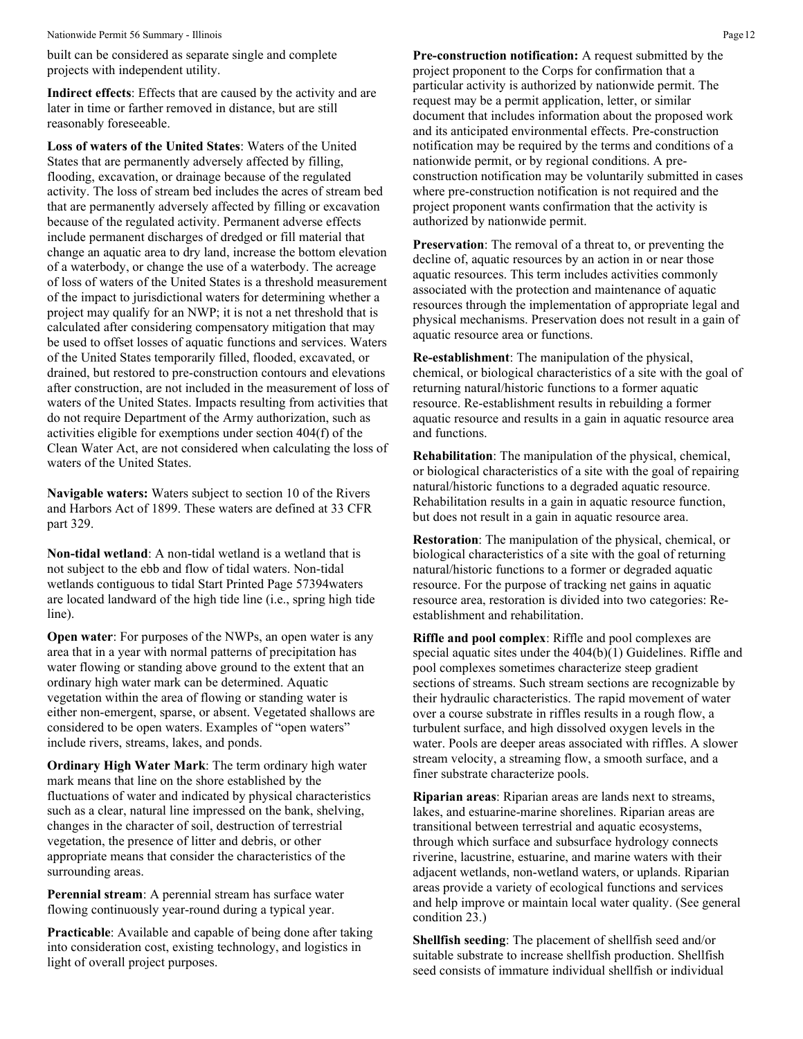built can be considered as separate single and complete projects with independent utility.

**Indirect effects**: Effects that are caused by the activity and are later in time or farther removed in distance, but are still reasonably foreseeable.

**Loss of waters of the United States**: Waters of the United States that are permanently adversely affected by filling, flooding, excavation, or drainage because of the regulated activity. The loss of stream bed includes the acres of stream bed that are permanently adversely affected by filling or excavation because of the regulated activity. Permanent adverse effects include permanent discharges of dredged or fill material that change an aquatic area to dry land, increase the bottom elevation of a waterbody, or change the use of a waterbody. The acreage of loss of waters of the United States is a threshold measurement of the impact to jurisdictional waters for determining whether a project may qualify for an NWP; it is not a net threshold that is calculated after considering compensatory mitigation that may be used to offset losses of aquatic functions and services. Waters of the United States temporarily filled, flooded, excavated, or drained, but restored to pre-construction contours and elevations after construction, are not included in the measurement of loss of waters of the United States. Impacts resulting from activities that do not require Department of the Army authorization, such as activities eligible for exemptions under section 404(f) of the Clean Water Act, are not considered when calculating the loss of waters of the United States.

**Navigable waters:** Waters subject to section 10 of the Rivers and Harbors Act of 1899. These waters are defined at 33 CFR part 329.

**Non-tidal wetland**: A non-tidal wetland is a wetland that is not subject to the ebb and flow of tidal waters. Non-tidal wetlands contiguous to tidal Start Printed Page 57394waters are located landward of the high tide line (i.e., spring high tide line).

**Open water:** For purposes of the NWPs, an open water is any area that in a year with normal patterns of precipitation has water flowing or standing above ground to the extent that an ordinary high water mark can be determined. Aquatic vegetation within the area of flowing or standing water is either non-emergent, sparse, or absent. Vegetated shallows are considered to be open waters. Examples of "open waters" include rivers, streams, lakes, and ponds.

**Ordinary High Water Mark**: The term ordinary high water mark means that line on the shore established by the fluctuations of water and indicated by physical characteristics such as a clear, natural line impressed on the bank, shelving, changes in the character of soil, destruction of terrestrial vegetation, the presence of litter and debris, or other appropriate means that consider the characteristics of the surrounding areas.

**Perennial stream**: A perennial stream has surface water flowing continuously year-round during a typical year.

**Practicable**: Available and capable of being done after taking into consideration cost, existing technology, and logistics in light of overall project purposes.

**Pre-construction notification:** A request submitted by the project proponent to the Corps for confirmation that a particular activity is authorized by nationwide permit. The request may be a permit application, letter, or similar document that includes information about the proposed work and its anticipated environmental effects. Pre-construction notification may be required by the terms and conditions of a nationwide permit, or by regional conditions. A preconstruction notification may be voluntarily submitted in cases where pre-construction notification is not required and the project proponent wants confirmation that the activity is authorized by nationwide permit.

**Preservation**: The removal of a threat to, or preventing the decline of, aquatic resources by an action in or near those aquatic resources. This term includes activities commonly associated with the protection and maintenance of aquatic resources through the implementation of appropriate legal and physical mechanisms. Preservation does not result in a gain of aquatic resource area or functions.

**Re-establishment**: The manipulation of the physical, chemical, or biological characteristics of a site with the goal of returning natural/historic functions to a former aquatic resource. Re-establishment results in rebuilding a former aquatic resource and results in a gain in aquatic resource area and functions.

**Rehabilitation**: The manipulation of the physical, chemical, or biological characteristics of a site with the goal of repairing natural/historic functions to a degraded aquatic resource. Rehabilitation results in a gain in aquatic resource function, but does not result in a gain in aquatic resource area.

**Restoration**: The manipulation of the physical, chemical, or biological characteristics of a site with the goal of returning natural/historic functions to a former or degraded aquatic resource. For the purpose of tracking net gains in aquatic resource area, restoration is divided into two categories: Reestablishment and rehabilitation.

**Riffle and pool complex**: Riffle and pool complexes are special aquatic sites under the 404(b)(1) Guidelines. Riffle and pool complexes sometimes characterize steep gradient sections of streams. Such stream sections are recognizable by their hydraulic characteristics. The rapid movement of water over a course substrate in riffles results in a rough flow, a turbulent surface, and high dissolved oxygen levels in the water. Pools are deeper areas associated with riffles. A slower stream velocity, a streaming flow, a smooth surface, and a finer substrate characterize pools.

**Riparian areas**: Riparian areas are lands next to streams, lakes, and estuarine-marine shorelines. Riparian areas are transitional between terrestrial and aquatic ecosystems, through which surface and subsurface hydrology connects riverine, lacustrine, estuarine, and marine waters with their adjacent wetlands, non-wetland waters, or uplands. Riparian areas provide a variety of ecological functions and services and help improve or maintain local water quality. (See general condition 23.)

**Shellfish seeding**: The placement of shellfish seed and/or suitable substrate to increase shellfish production. Shellfish seed consists of immature individual shellfish or individual